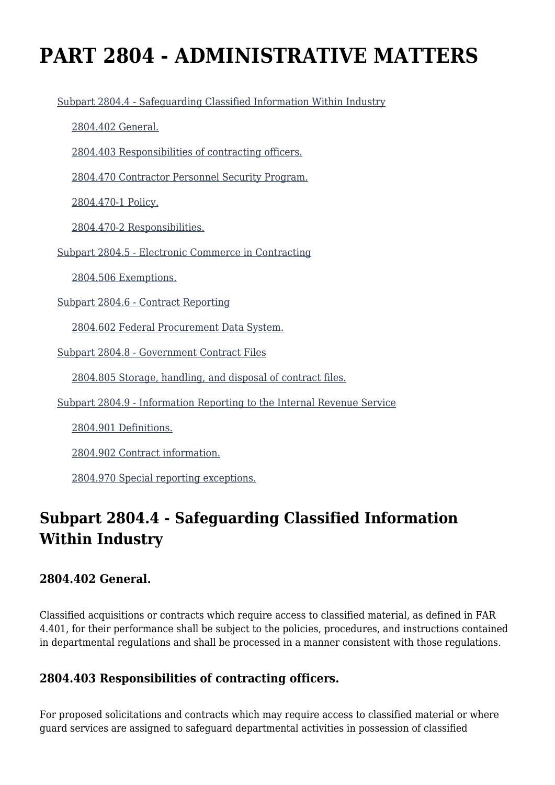# **PART 2804 - ADMINISTRATIVE MATTERS**

[Subpart 2804.4 - Safeguarding Classified Information Within Industry](https://login.acquisition.gov/%5Brp:link:jar-part-2804%5D#Subpart_2804_4_T48_60116051)

[2804.402 General.](https://login.acquisition.gov/%5Brp:link:jar-part-2804%5D#Section_2804_402_T48_6011605111)

[2804.403 Responsibilities of contracting officers.](https://login.acquisition.gov/%5Brp:link:jar-part-2804%5D#Section_2804_403_T48_6011605112)

[2804.470 Contractor Personnel Security Program.](https://login.acquisition.gov/%5Brp:link:jar-part-2804%5D#Section_2804_470_T48_6011605113)

[2804.470-1 Policy.](https://login.acquisition.gov/%5Brp:link:jar-part-2804%5D#Section_2804_470_1_T48_6011605114)

[2804.470-2 Responsibilities.](https://login.acquisition.gov/%5Brp:link:jar-part-2804%5D#Section_2804_470_2_T48_6011605115)

[Subpart 2804.5 - Electronic Commerce in Contracting](https://login.acquisition.gov/%5Brp:link:jar-part-2804%5D#Subpart_2804_5_T48_60116052)

[2804.506 Exemptions.](https://login.acquisition.gov/%5Brp:link:jar-part-2804%5D#Section_2804_506_T48_6011605211)

[Subpart 2804.6 - Contract Reporting](https://login.acquisition.gov/%5Brp:link:jar-part-2804%5D#Subpart_2804_6_T48_60116053)

[2804.602 Federal Procurement Data System.](https://login.acquisition.gov/%5Brp:link:jar-part-2804%5D#Section_2804_602_T48_6011605311)

[Subpart 2804.8 - Government Contract Files](https://login.acquisition.gov/%5Brp:link:jar-part-2804%5D#Subpart_2804_8_T48_60116054)

[2804.805 Storage, handling, and disposal of contract files.](https://login.acquisition.gov/%5Brp:link:jar-part-2804%5D#Section_2804_805_T48_6011605411)

[Subpart 2804.9 - Information Reporting to the Internal Revenue Service](https://login.acquisition.gov/%5Brp:link:jar-part-2804%5D#Subpart_2804_9_T48_60116055)

[2804.901 Definitions.](https://login.acquisition.gov/%5Brp:link:jar-part-2804%5D#Section_2804_901_T48_6011605511)

[2804.902 Contract information.](https://login.acquisition.gov/%5Brp:link:jar-part-2804%5D#Section_2804_902_T48_6011605512)

[2804.970 Special reporting exceptions.](https://login.acquisition.gov/%5Brp:link:jar-part-2804%5D#Section_2804_970_T48_6011605513)

# **Subpart 2804.4 - Safeguarding Classified Information Within Industry**

#### **2804.402 General.**

Classified acquisitions or contracts which require access to classified material, as defined in FAR 4.401, for their performance shall be subject to the policies, procedures, and instructions contained in departmental regulations and shall be processed in a manner consistent with those regulations.

### **2804.403 Responsibilities of contracting officers.**

For proposed solicitations and contracts which may require access to classified material or where guard services are assigned to safeguard departmental activities in possession of classified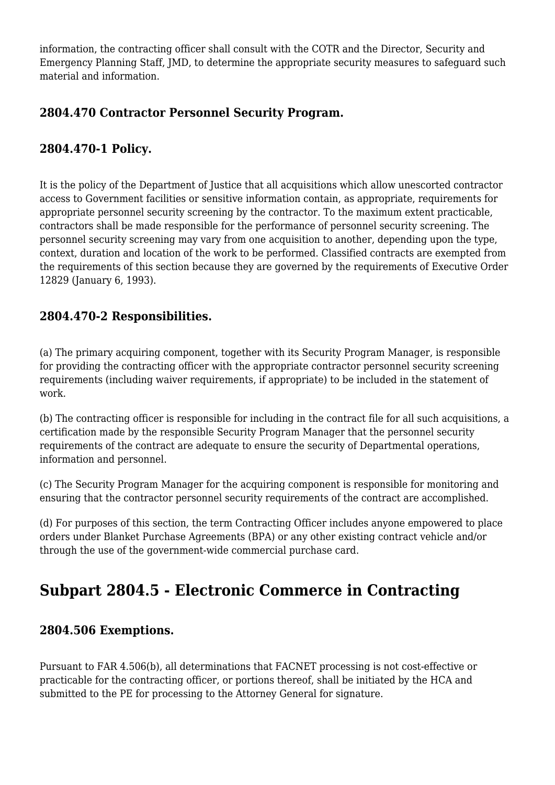information, the contracting officer shall consult with the COTR and the Director, Security and Emergency Planning Staff, JMD, to determine the appropriate security measures to safeguard such material and information.

### **2804.470 Contractor Personnel Security Program.**

### **2804.470-1 Policy.**

It is the policy of the Department of Justice that all acquisitions which allow unescorted contractor access to Government facilities or sensitive information contain, as appropriate, requirements for appropriate personnel security screening by the contractor. To the maximum extent practicable, contractors shall be made responsible for the performance of personnel security screening. The personnel security screening may vary from one acquisition to another, depending upon the type, context, duration and location of the work to be performed. Classified contracts are exempted from the requirements of this section because they are governed by the requirements of Executive Order 12829 (January 6, 1993).

### **2804.470-2 Responsibilities.**

(a) The primary acquiring component, together with its Security Program Manager, is responsible for providing the contracting officer with the appropriate contractor personnel security screening requirements (including waiver requirements, if appropriate) to be included in the statement of work.

(b) The contracting officer is responsible for including in the contract file for all such acquisitions, a certification made by the responsible Security Program Manager that the personnel security requirements of the contract are adequate to ensure the security of Departmental operations, information and personnel.

(c) The Security Program Manager for the acquiring component is responsible for monitoring and ensuring that the contractor personnel security requirements of the contract are accomplished.

(d) For purposes of this section, the term Contracting Officer includes anyone empowered to place orders under Blanket Purchase Agreements (BPA) or any other existing contract vehicle and/or through the use of the government-wide commercial purchase card.

### **Subpart 2804.5 - Electronic Commerce in Contracting**

#### **2804.506 Exemptions.**

Pursuant to FAR 4.506(b), all determinations that FACNET processing is not cost-effective or practicable for the contracting officer, or portions thereof, shall be initiated by the HCA and submitted to the PE for processing to the Attorney General for signature.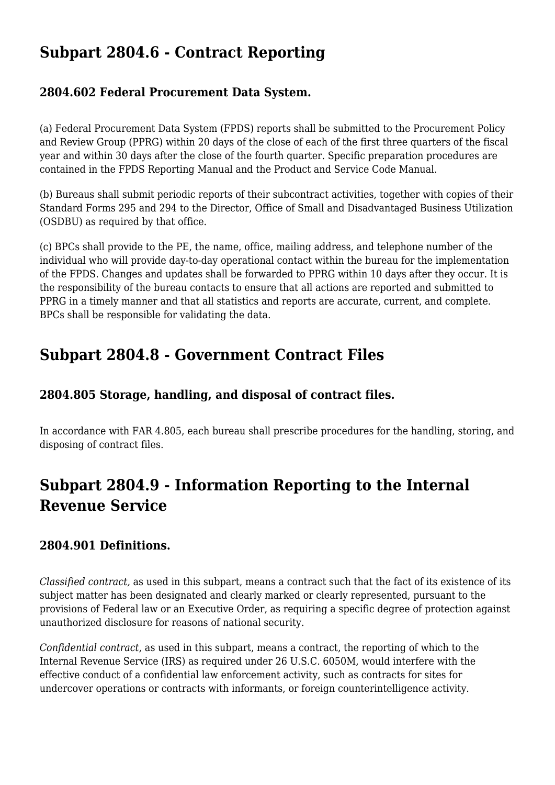## **Subpart 2804.6 - Contract Reporting**

### **2804.602 Federal Procurement Data System.**

(a) Federal Procurement Data System (FPDS) reports shall be submitted to the Procurement Policy and Review Group (PPRG) within 20 days of the close of each of the first three quarters of the fiscal year and within 30 days after the close of the fourth quarter. Specific preparation procedures are contained in the FPDS Reporting Manual and the Product and Service Code Manual.

(b) Bureaus shall submit periodic reports of their subcontract activities, together with copies of their Standard Forms 295 and 294 to the Director, Office of Small and Disadvantaged Business Utilization (OSDBU) as required by that office.

(c) BPCs shall provide to the PE, the name, office, mailing address, and telephone number of the individual who will provide day-to-day operational contact within the bureau for the implementation of the FPDS. Changes and updates shall be forwarded to PPRG within 10 days after they occur. It is the responsibility of the bureau contacts to ensure that all actions are reported and submitted to PPRG in a timely manner and that all statistics and reports are accurate, current, and complete. BPCs shall be responsible for validating the data.

## **Subpart 2804.8 - Government Contract Files**

### **2804.805 Storage, handling, and disposal of contract files.**

In accordance with FAR 4.805, each bureau shall prescribe procedures for the handling, storing, and disposing of contract files.

# **Subpart 2804.9 - Information Reporting to the Internal Revenue Service**

### **2804.901 Definitions.**

*Classified contract,* as used in this subpart, means a contract such that the fact of its existence of its subject matter has been designated and clearly marked or clearly represented, pursuant to the provisions of Federal law or an Executive Order, as requiring a specific degree of protection against unauthorized disclosure for reasons of national security.

*Confidential contract,* as used in this subpart, means a contract, the reporting of which to the Internal Revenue Service (IRS) as required under 26 U.S.C. 6050M, would interfere with the effective conduct of a confidential law enforcement activity, such as contracts for sites for undercover operations or contracts with informants, or foreign counterintelligence activity.